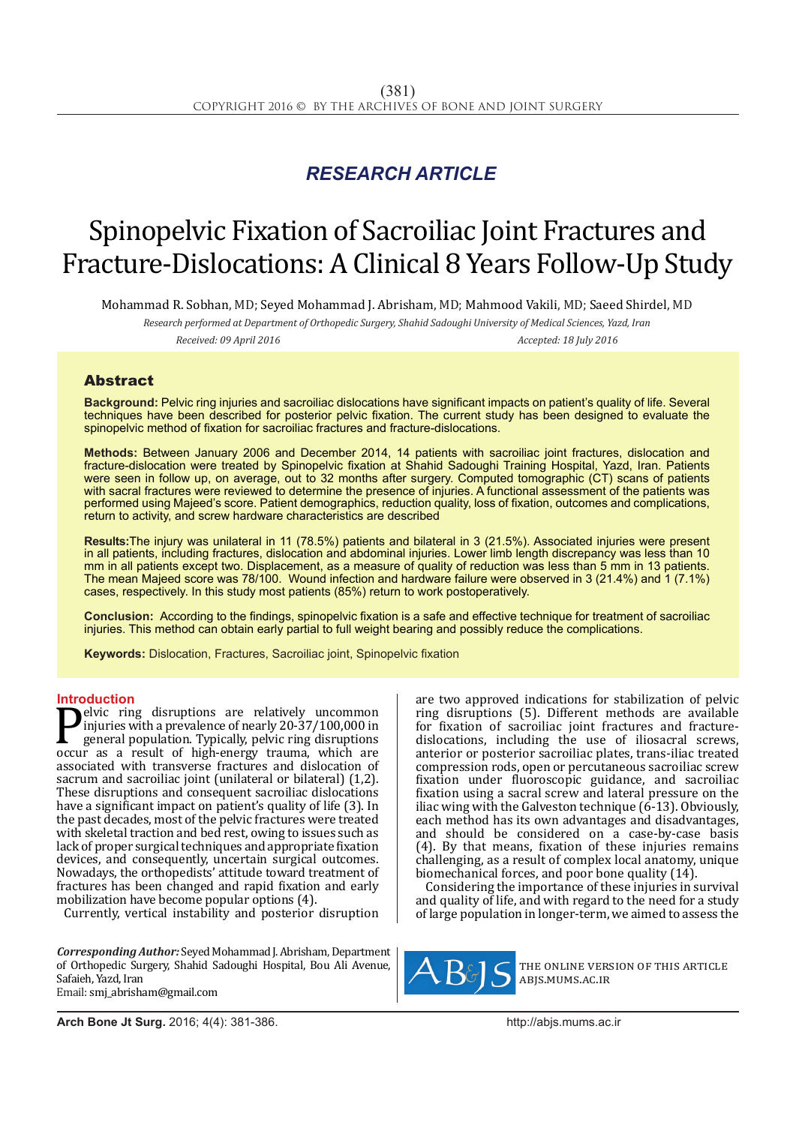# *RESEARCH ARTICLE*

# Spinopelvic Fixation of Sacroiliac Joint Fractures and Fracture-Dislocations: A Clinical 8 Years Follow-Up Study

Mohammad R. Sobhan, MD; Seyed Mohammad J. Abrisham, MD; Mahmood Vakili, MD; Saeed Shirdel, MD

*Research performed at Department of Orthopedic Surgery, Shahid Sadoughi University of Medical Sciences, Yazd, Iran Received: 09 April 2016 Accepted: 18 July 2016*

## Abstract

**Background:** Pelvic ring injuries and sacroiliac dislocations have significant impacts on patient's quality of life. Several techniques have been described for posterior pelvic fixation. The current study has been designed to evaluate the spinopelvic method of fixation for sacroiliac fractures and fracture-dislocations.

**Methods:** Between January 2006 and December 2014, 14 patients with sacroiliac joint fractures, dislocation and fracture-dislocation were treated by Spinopelvic fixation at Shahid Sadoughi Training Hospital, Yazd, Iran. Patients were seen in follow up, on average, out to 32 months after surgery. Computed tomographic (CT) scans of patients with sacral fractures were reviewed to determine the presence of injuries. A functional assessment of the patients was performed using Majeed's score. Patient demographics, reduction quality, loss of fixation, outcomes and complications, return to activity, and screw hardware characteristics are described

**Results:**The injury was unilateral in 11 (78.5%) patients and bilateral in 3 (21.5%). Associated injuries were present in all patients, including fractures, dislocation and abdominal injuries. Lower limb length discrepancy was less than 10 mm in all patients except two. Displacement, as a measure of quality of reduction was less than 5 mm in 13 patients. The mean Majeed score was 78/100. Wound infection and hardware failure were observed in 3 (21.4%) and 1 (7.1%) cases, respectively. In this study most patients (85%) return to work postoperatively.

**Conclusion:** According to the findings, spinopelvic fixation is a safe and effective technique for treatment of sacroiliac injuries. This method can obtain early partial to full weight bearing and possibly reduce the complications.

**Keywords:** Dislocation, Fractures, Sacroiliac joint, Spinopelvic fixation

#### **Introduction**

**Pelvic ring disruptions are relatively uncommon**<br>injuries with a prevalence of nearly 20-37/100,000 in<br>general population. Typically, pelvic ring disruptions<br>occur as a result of high-energy trauma, which are<br>associated w injuries with a prevalence of nearly 20-37/100,000 in general population. Typically, pelvic ring disruptions occur as a result of high-energy trauma, which are associated with transverse fractures and dislocation of sacrum and sacroiliac joint (unilateral or bilateral) (1,2). These disruptions and consequent sacroiliac dislocations have a significant impact on patient's quality of life (3). In the past decades, most of the pelvic fractures were treated with skeletal traction and bed rest, owing to issues such as lack of proper surgical techniques and appropriate fixation devices, and consequently, uncertain surgical outcomes. Nowadays, the orthopedists' attitude toward treatment of fractures has been changed and rapid fixation and early mobilization have become popular options (4).

Currently, vertical instability and posterior disruption

*Corresponding Author:* Seyed Mohammad J. Abrisham, Department of Orthopedic Surgery, Shahid Sadoughi Hospital, Bou Ali Avenue, Safaieh, Yazd, Iran Email: smj\_abrisham@gmail.com

are two approved indications for stabilization of pelvic ring disruptions (5). Different methods are available for fixation of sacroiliac joint fractures and fracturedislocations, including the use of iliosacral screws, anterior or posterior sacroiliac plates, trans-iliac treated compression rods, open or percutaneous sacroiliac screw fixation under fluoroscopic guidance, and sacroiliac fixation using a sacral screw and lateral pressure on the iliac wing with the Galveston technique (6-13). Obviously, each method has its own advantages and disadvantages, and should be considered on a case-by-case basis (4). By that means, fixation of these injuries remains challenging, as a result of complex local anatomy, unique biomechanical forces, and poor bone quality (14).

Considering the importance of these injuries in survival and quality of life, and with regard to the need for a study of large population in longer-term, we aimed to assess the



the online version of this article abjs.mums.ac.ir

**Arch Bone Jt Surg.** 2016; 4(4): 381-386.http://abjs.mums.ac.ir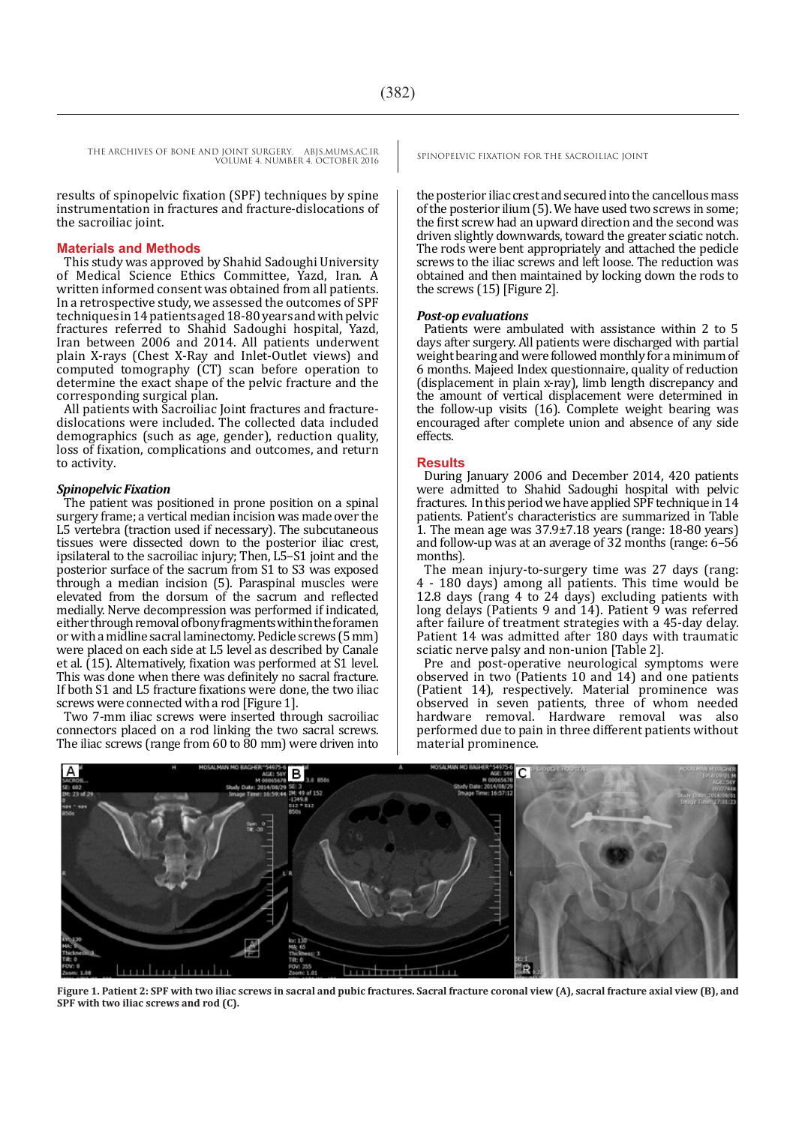THE ARCHIVES OF BONE AND JOINT SURGERY. ABJS.MUMS.AC.IR SPINOPELVIC FIXATION FOR THE SACROILIAC JOINT VOLUME 4. NUMBER 4. OCTOBER 2016

results of spinopelvic fixation (SPF) techniques by spine instrumentation in fractures and fracture-dislocations of the sacroiliac joint.

#### **Materials and Methods**

This study was approved by Shahid Sadoughi University of Medical Science Ethics Committee, Yazd, Iran. A written informed consent was obtained from all patients. In a retrospective study, we assessed the outcomes of SPF techniques in 14 patients aged 18-80 years and with pelvic fractures referred to Shahid Sadoughi hospital, Yazd, Iran between 2006 and 2014. All patients underwent plain X-rays (Chest X-Ray and Inlet-Outlet views) and computed tomography (CT) scan before operation to determine the exact shape of the pelvic fracture and the corresponding surgical plan.

All patients with Sacroiliac Joint fractures and fracturedislocations were included. The collected data included demographics (such as age, gender), reduction quality, loss of fixation, complications and outcomes, and return to activity.

#### *Spinopelvic Fixation*

The patient was positioned in prone position on a spinal surgery frame; a vertical median incision was made over the L5 vertebra (traction used if necessary). The subcutaneous tissues were dissected down to the posterior iliac crest, ipsilateral to the sacroiliac injury; Then, L5–S1 joint and the posterior surface of the sacrum from S1 to S3 was exposed through a median incision (5). Paraspinal muscles were elevated from the dorsum of the sacrum and reflected medially. Nerve decompression was performed if indicated, either through removal of bony fragments within the foramen or with a midline sacral laminectomy. Pedicle screws (5 mm) were placed on each side at L5 level as described by Canale et al. (15). Alternatively, fixation was performed at S1 level. This was done when there was definitely no sacral fracture. If both S1 and L5 fracture fixations were done, the two iliac screws were connected with a rod [Figure 1].

Two 7-mm iliac screws were inserted through sacroiliac connectors placed on a rod linking the two sacral screws. The iliac screws (range from 60 to 80 mm) were driven into

the posterior iliac crest and secured into the cancellous mass of the posterior ilium (5). We have used two screws in some; the first screw had an upward direction and the second was driven slightly downwards, toward the greater sciatic notch. The rods were bent appropriately and attached the pedicle screws to the iliac screws and left loose. The reduction was obtained and then maintained by locking down the rods to the screws (15) [Figure 2].

#### *Post-op evaluations*

Patients were ambulated with assistance within 2 to 5 days after surgery. All patients were discharged with partial weight bearing and were followed monthly for a minimum of 6 months. Majeed Index questionnaire, quality of reduction (displacement in plain x-ray), limb length discrepancy and the amount of vertical displacement were determined in the follow-up visits (16). Complete weight bearing was encouraged after complete union and absence of any side effects.

#### **Results**

During January 2006 and December 2014, 420 patients were admitted to Shahid Sadoughi hospital with pelvic fractures. In this period we have applied SPF technique in 14 patients. Patient's characteristics are summarized in Table 1. The mean age was  $37.9\pm7.18$  years (range: 18-80 years) and follow-up was at an average of 32 months (range: 6–56 months).

The mean injury-to-surgery time was 27 days (rang: 4 - 180 days) among all patients. This time would be 12.8 days (rang 4 to 24 days) excluding patients with long delays (Patients 9 and  $14$ ). Patient 9 was referred after failure of treatment strategies with a 45-day delay. Patient 14 was admitted after 180 days with traumatic sciatic nerve palsy and non-union [Table 2].

Pre and post-operative neurological symptoms were observed in two (Patients 10 and 14) and one patients (Patient 14), respectively. Material prominence was observed in seven patients, three of whom needed hardware removal. Hardware removal was performed due to pain in three different patients without material prominence.



**Figure 1. Patient 2: SPF with two iliac screws in sacral and pubic fractures. Sacral fracture coronal view (A), sacral fracture axial view (B), and SPF with two iliac screws and rod (C).**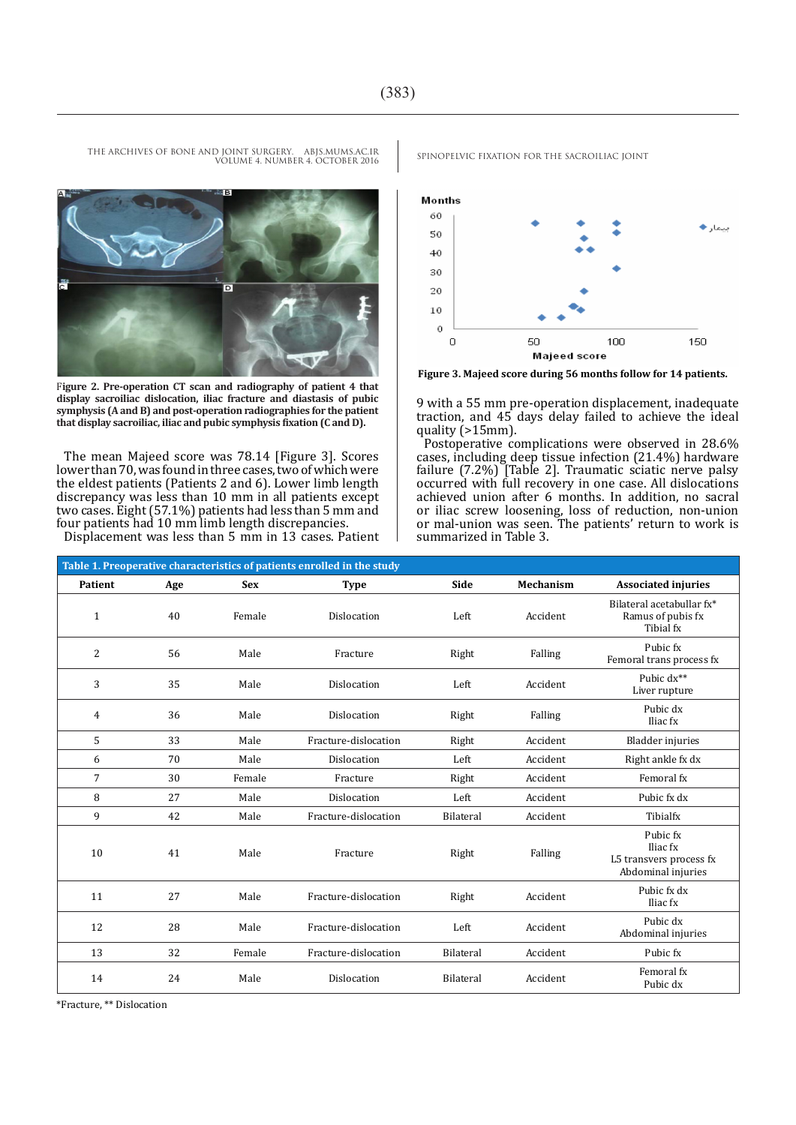

VOLUME 4. NUMBER 4. OCTOBER 2016

F**igure 2. Pre-operation CT scan and radiography of patient 4 that display sacroiliac dislocation, iliac fracture and diastasis of pubic symphysis (A and B) and post-operation radiographies for the patient that display sacroiliac, iliac and pubic symphysis fixation (C and D).**

The mean Majeed score was 78.14 [Figure 3]. Scores lower than 70, was found in three cases, two of which were the eldest patients (Patients 2 and 6). Lower limb length discrepancy was less than 10 mm in all patients except two cases. Eight (57.1%) patients had less than 5 mm and four patients had 10 mm limb length discrepancies.

Displacement was less than 5 mm in 13 cases. Patient



**Figure 3. Majeed score during 56 months follow for 14 patients.** 

9 with a 55 mm pre-operation displacement, inadequate traction, and 45 days delay failed to achieve the ideal quality (>15mm).

Postoperative complications were observed in 28.6% cases, including deep tissue infection (21.4%) hardware failure (7.2%) [Table 2]. Traumatic sciatic nerve palsy occurred with full recovery in one case. All dislocations achieved union after 6 months. In addition, no sacral or iliac screw loosening, loss of reduction, non-union or mal-union was seen. The patients' return to work is summarized in Table 3.

| Table 1. Preoperative characteristics of patients enrolled in the study |     |            |                      |           |           |                                                                       |  |
|-------------------------------------------------------------------------|-----|------------|----------------------|-----------|-----------|-----------------------------------------------------------------------|--|
| Patient                                                                 | Age | <b>Sex</b> | <b>Type</b>          | Side      | Mechanism | <b>Associated injuries</b>                                            |  |
| $\mathbf{1}$                                                            | 40  | Female     | Dislocation          | Left      | Accident  | Bilateral acetabullar fx*<br>Ramus of pubis fx<br>Tibial fx           |  |
| 2                                                                       | 56  | Male       | Fracture             | Right     | Falling   | Pubic fx<br>Femoral trans process fx                                  |  |
| 3                                                                       | 35  | Male       | Dislocation          | Left      | Accident  | Pubic dx**<br>Liver rupture                                           |  |
| 4                                                                       | 36  | Male       | Dislocation          | Right     | Falling   | Pubic dx<br>Iliac fx                                                  |  |
| 5                                                                       | 33  | Male       | Fracture-dislocation | Right     | Accident  | <b>Bladder</b> injuries                                               |  |
| 6                                                                       | 70  | Male       | Dislocation          | Left      | Accident  | Right ankle fx dx                                                     |  |
| $\overline{7}$                                                          | 30  | Female     | Fracture             | Right     | Accident  | Femoral fx                                                            |  |
| 8                                                                       | 27  | Male       | Dislocation          | Left      | Accident  | Pubic fx dx                                                           |  |
| 9                                                                       | 42  | Male       | Fracture-dislocation | Bilateral | Accident  | Tibialfx                                                              |  |
| 10                                                                      | 41  | Male       | Fracture             | Right     | Falling   | Pubic fx<br>Iliac fx<br>L5 transvers process fx<br>Abdominal injuries |  |
| 11                                                                      | 27  | Male       | Fracture-dislocation | Right     | Accident  | Pubic fx dx<br>Iliac fx                                               |  |
| 12                                                                      | 28  | Male       | Fracture-dislocation | Left      | Accident  | Pubic dx<br>Abdominal injuries                                        |  |
| 13                                                                      | 32  | Female     | Fracture-dislocation | Bilateral | Accident  | Pubic fx                                                              |  |
| 14                                                                      | 24  | Male       | Dislocation          | Bilateral | Accident  | Femoral fx<br>Pubic dx                                                |  |

\*Fracture, \*\* Dislocation

THE ARCHIVES OF BONE AND JOINT SURGERY. ABJS.MUMS.AC.IR SPINOPELVIC FIXATION FOR THE SACROILIAC JOINT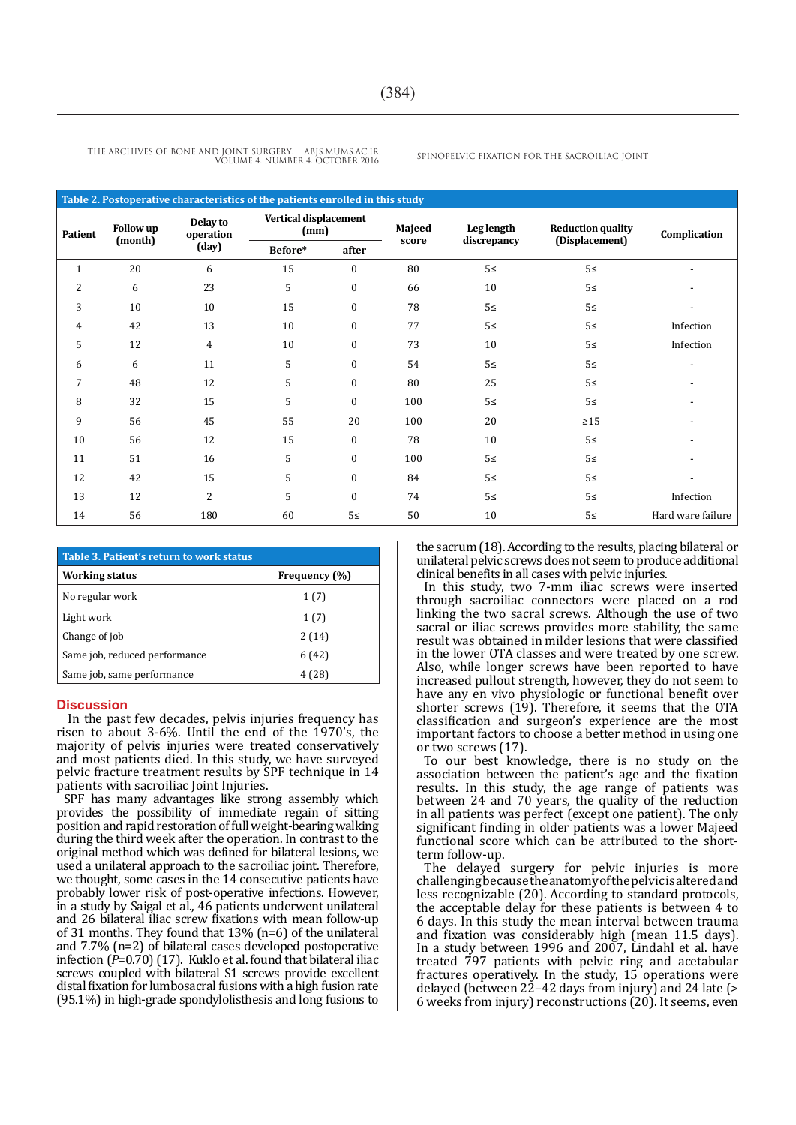**Table 2. Postoperative characteristics of the patients enrolled in this study Complication Reduction quality (Displacement) Leg length discrepancy Majeed score Vertical displacement (mm) Delay to operation (day) Follow up (month) Patient Before\* after**  $1 \t 20 \t 6 \t 15 \t 0 \t 80 \t 52 \t 53$ 2 6 23 5 0 66 10 5≤ - $3 \t 10 \t 10 \t 15 \t 0 \t 78 \t 52 \t 53$ 4 42 13 10 0 77 5≤ 5≤ Infection 5 12 4 10 0 73 10 5≤ Infection 6 6 11 5 0 54 5≤ 5≤ 5≥ 7 48 12 5 0 80 25 5≤ -8 32 15 5 0 100 5≤ 5≤ 5≤ 9 56 45 55 20 100 20 ≥15 - $10$  56 12 15 0 78 10 5≤ - $11$  51 16 5 0 100 5≤ 5≤ 5≥ 12 42 15 5 0 84 5≥ 5≥ - 13 12 2 5 0 74 5≥ 5≥ Infection 14 56 180 60 5≥ 50 10 5≥ Hard ware failure

THE ARCHIVES OF BONE AND JOINT SURGERY. ABJS.MUMS.AC.IR SPINOPELVIC FIXATION FOR THE SACROILIAC JOINT VOLUME 4. NUMBER 4. OCTOBER 2016

| Table 3. Patient's return to work status |               |  |  |  |  |
|------------------------------------------|---------------|--|--|--|--|
| Working status                           | Frequency (%) |  |  |  |  |
| No regular work                          | 1(7)          |  |  |  |  |
| Light work                               | 1(7)          |  |  |  |  |
| Change of job                            | 2(14)         |  |  |  |  |
| Same job, reduced performance            | 6(42)         |  |  |  |  |
| Same job, same performance               | 4 (28)        |  |  |  |  |

#### **Discussion**

In the past few decades, pelvis injuries frequency has risen to about 3-6%. Until the end of the 1970's, the majority of pelvis injuries were treated conservatively and most patients died. In this study, we have surveyed pelvic fracture treatment results by SPF technique in 14 patients with sacroiliac Joint Injuries.

SPF has many advantages like strong assembly which provides the possibility of immediate regain of sitting position and rapid restoration of full weight-bearing walking during the third week after the operation. In contrast to the original method which was defined for bilateral lesions, we used a unilateral approach to the sacroiliac joint. Therefore, we thought, some cases in the 14 consecutive patients have probably lower risk of post-operative infections. However, in a study by Saigal et al., 46 patients underwent unilateral and 26 bilateral iliac screw fixations with mean follow-up of 31 months. They found that 13% (n=6) of the unilateral and 7.7% (n=2) of bilateral cases developed postoperative infection (*P*=0.70) (17). Kuklo et al. found that bilateral iliac screws coupled with bilateral S1 screws provide excellent distal fixation for lumbosacral fusions with a high fusion rate (95.1%) in high-grade spondylolisthesis and long fusions to

the sacrum (18). According to the results, placing bilateral or unilateral pelvic screws does not seem to produce additional clinical benefits in all cases with pelvic injuries.

In this study, two 7-mm iliac screws were inserted through sacroiliac connectors were placed on a rod linking the two sacral screws. Although the use of two sacral or iliac screws provides more stability, the same result was obtained in milder lesions that were classified in the lower OTA classes and were treated by one screw. Also, while longer screws have been reported to have increased pullout strength, however, they do not seem to have any en vivo physiologic or functional benefit over shorter screws (19). Therefore, it seems that the OTA classification and surgeon's experience are the most important factors to choose a better method in using one or two screws (17).

To our best knowledge, there is no study on the association between the patient's age and the fixation results. In this study, the age range of patients was between 24 and 70 years, the quality of the reduction in all patients was perfect (except one patient). The only significant finding in older patients was a lower Majeed functional score which can be attributed to the shortterm follow-up.

The delayed surgery for pelvic injuries is more challenging because the anatomy of the pelvic is altered and less recognizable (20). According to standard protocols, the acceptable delay for these patients is between 4 to 6 days. In this study the mean interval between trauma and fixation was considerably high (mean 11.5 days). In a study between 1996 and 2007, Lindahl et al. have treated 797 patients with pelvic ring and acetabular fractures operatively. In the study, 15 operations were delayed (between 22–42 days from injury) and 24 late (> 6 weeks from injury) reconstructions (20). It seems, even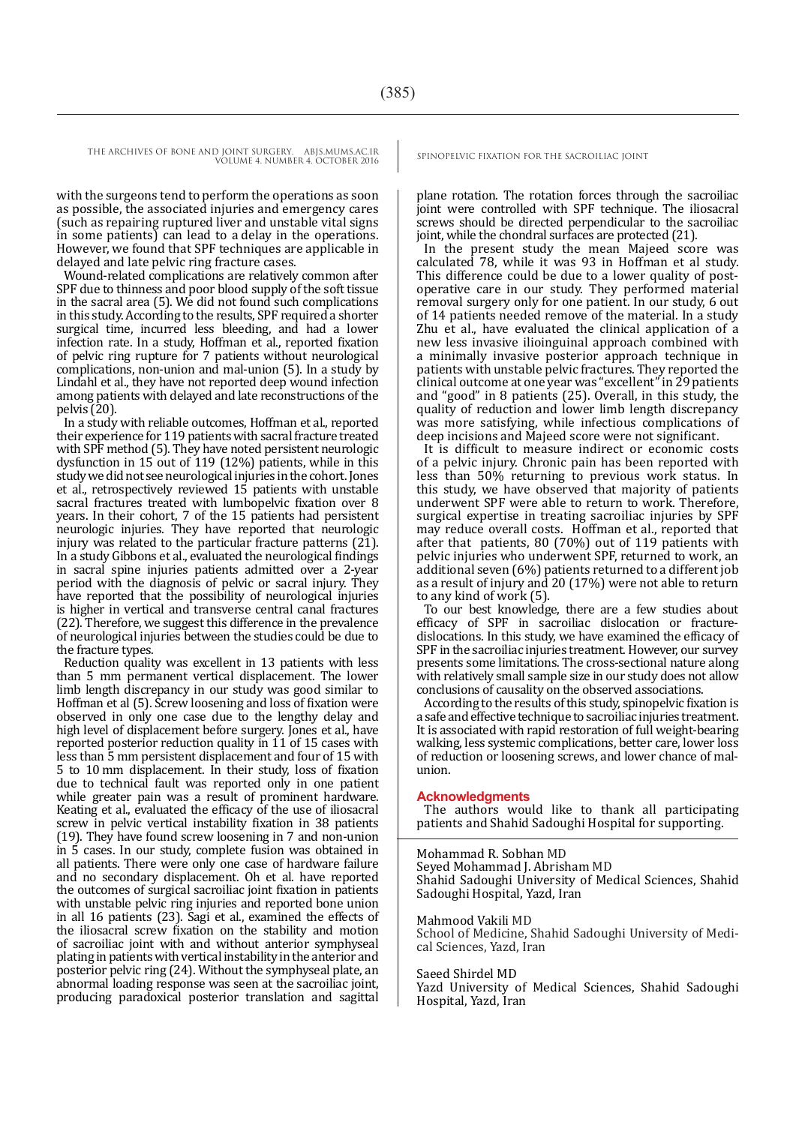THE ARCHIVES OF BONE AND JOINT SURGERY. ABJS.MUMS.AC.IR SPINOPELVIC FIXATION FOR THE SACROILIAC JOINT

VOLUME 4. NUMBER 4. OCTOBER 2016

with the surgeons tend to perform the operations as soon as possible, the associated injuries and emergency cares (such as repairing ruptured liver and unstable vital signs in some patients) can lead to a delay in the operations. However, we found that SPF techniques are applicable in delayed and late pelvic ring fracture cases.

Wound-related complications are relatively common after SPF due to thinness and poor blood supply of the soft tissue in the sacral area (5). We did not found such complications in this study. According to the results, SPF required a shorter surgical time, incurred less bleeding, and had a lower infection rate. In a study, Hoffman et al., reported fixation of pelvic ring rupture for 7 patients without neurological complications, non-union and mal-union (5). In a study by Lindahl et al., they have not reported deep wound infection among patients with delayed and late reconstructions of the pelvis (20).

In a study with reliable outcomes, Hoffman et al., reported their experience for 119 patients with sacral fracture treated with SPF method (5). They have noted persistent neurologic dysfunction in 15 out of 119 (12%) patients, while in this study we did not see neurological injuries in the cohort. Jones et al., retrospectively reviewed 15 patients with unstable sacral fractures treated with lumbopelvic fixation over 8 years. In their cohort, 7 of the 15 patients had persistent neurologic injuries. They have reported that neurologic injury was related to the particular fracture patterns (21). In a study Gibbons et al., evaluated the neurological findings in sacral spine injuries patients admitted over a 2-year period with the diagnosis of pelvic or sacral injury. They have reported that the possibility of neurological injuries is higher in vertical and transverse central canal fractures (22). Therefore, we suggest this difference in the prevalence of neurological injuries between the studies could be due to

Reduction quality was excellent in 13 patients with less than 5 mm permanent vertical displacement. The lower limb length discrepancy in our study was good similar to Hoffman et al (5). Screw loosening and loss of fixation were observed in only one case due to the lengthy delay and high level of displacement before surgery. Jones et al., have reported posterior reduction quality in 11 of 15 cases with less than 5 mm persistent displacement and four of 15 with 5 to 10 mm displacement. In their study, loss of fixation due to technical fault was reported only in one patient while greater pain was a result of prominent hardware. Keating et al., evaluated the efficacy of the use of iliosacral screw in pelvic vertical instability fixation in 38 patients (19). They have found screw loosening in 7 and non-union in 5 cases. In our study, complete fusion was obtained in all patients. There were only one case of hardware failure and no secondary displacement. Oh et al. have reported the outcomes of surgical sacroiliac joint fixation in patients with unstable pelvic ring injuries and reported bone union in all 16 patients (23). Sagi et al., examined the effects of the iliosacral screw fixation on the stability and motion of sacroiliac joint with and without anterior symphyseal plating in patients with vertical instability in the anterior and posterior pelvic ring (24). Without the symphyseal plate, an abnormal loading response was seen at the sacroiliac joint, producing paradoxical posterior translation and sagittal

plane rotation. The rotation forces through the sacroiliac joint were controlled with SPF technique. The iliosacral screws should be directed perpendicular to the sacroiliac joint, while the chondral surfaces are protected (21).

In the present study the mean Majeed score was calculated 78, while it was 93 in Hoffman et al study. This difference could be due to a lower quality of postoperative care in our study. They performed material removal surgery only for one patient. In our study, 6 out of 14 patients needed remove of the material. In a study Zhu et al., have evaluated the clinical application of a new less invasive ilioinguinal approach combined with a minimally invasive posterior approach technique in patients with unstable pelvic fractures. They reported the clinical outcome at one year was "excellent" in 29 patients and "good" in 8 patients (25). Overall, in this study, the quality of reduction and lower limb length discrepancy was more satisfying, while infectious complications of deep incisions and Majeed score were not significant.

It is difficult to measure indirect or economic costs of a pelvic injury. Chronic pain has been reported with less than 50% returning to previous work status. In this study, we have observed that majority of patients underwent SPF were able to return to work. Therefore, surgical expertise in treating sacroiliac injuries by SPF may reduce overall costs. Hoffman et al., reported that after that patients, 80 (70%) out of 119 patients with pelvic injuries who underwent SPF, returned to work, an additional seven (6%) patients returned to a different job as a result of injury and 20 (17%) were not able to return to any kind of work (5).

To our best knowledge, there are a few studies about efficacy of SPF in sacroiliac dislocation or fracturedislocations. In this study, we have examined the efficacy of SPF in the sacroiliac injuries treatment. However, our survey presents some limitations. The cross-sectional nature along with relatively small sample size in our study does not allow conclusions of causality on the observed associations.

According to the results of this study, spinopelvic fixation is a safe and effective technique to sacroiliac injuries treatment. It is associated with rapid restoration of full weight-bearing walking, less systemic complications, better care, lower loss of reduction or loosening screws, and lower chance of malunion.

#### **Acknowledgments**

The authors would like to thank all participating patients and Shahid Sadoughi Hospital for supporting.

Mohammad R. Sobhan MD Seyed Mohammad J. Abrisham MD Shahid Sadoughi University of Medical Sciences, Shahid Sadoughi Hospital, Yazd, Iran

#### Mahmood Vakili MD

School of Medicine, Shahid Sadoughi University of Medical Sciences, Yazd, Iran

#### Saeed Shirdel MD

Yazd University of Medical Sciences, Shahid Sadoughi Hospital, Yazd, Iran